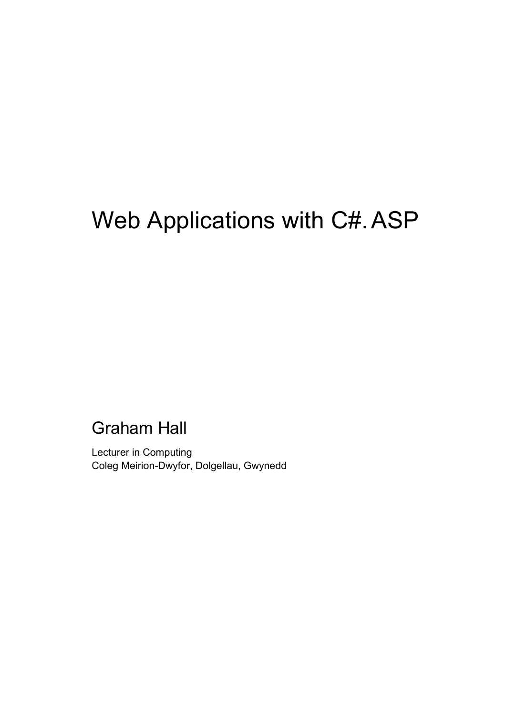# Web Applications with C#.ASP

#### Graham Hall

Lecturer in Computing Coleg Meirion-Dwyfor, Dolgellau, Gwynedd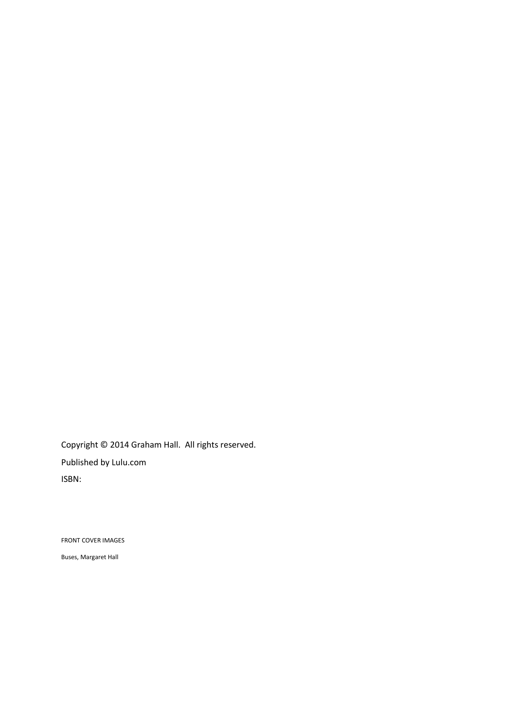Copyright © 2014 Graham Hall. All rights reserved. Published by Lulu.com ISBN:

FRONT COVER IMAGES

Buses, Margaret Hall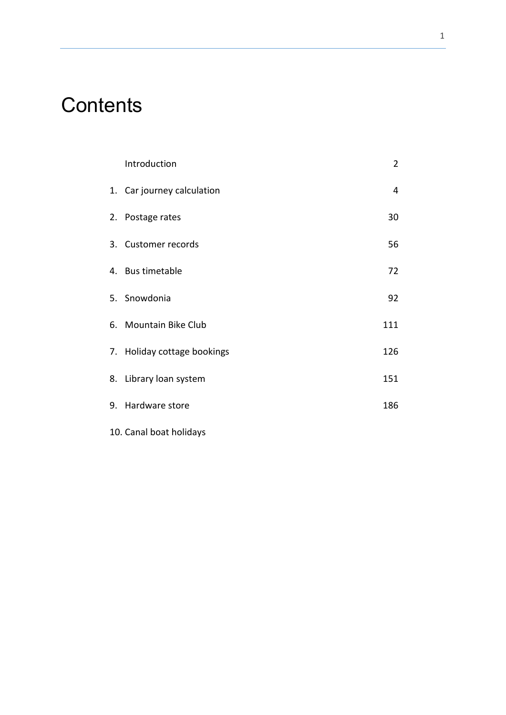### **Contents**

| Introduction                | $\overline{2}$ |
|-----------------------------|----------------|
| 1. Car journey calculation  | 4              |
| 2. Postage rates            | 30             |
| 3. Customer records         | 56             |
| 4. Bus timetable            | 72             |
| 5. Snowdonia                | 92             |
| 6. Mountain Bike Club       | 111            |
| 7. Holiday cottage bookings | 126            |
| 8. Library loan system      | 151            |
| 9. Hardware store           | 186            |
|                             |                |

10. Canal boat holidays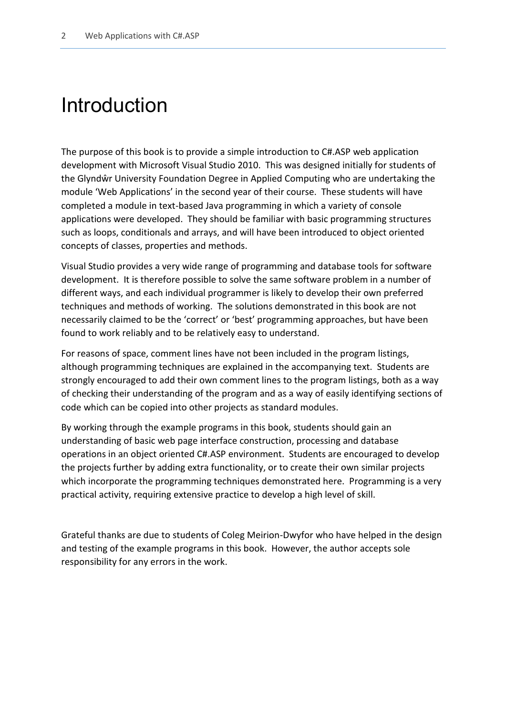## Introduction

The purpose of this book is to provide a simple introduction to C#.ASP web application development with Microsoft Visual Studio 2010. This was designed initially for students of the Glyndŵr University Foundation Degree in Applied Computing who are undertaking the module 'Web Applications' in the second year of their course. These students will have completed a module in text-based Java programming in which a variety of console applications were developed. They should be familiar with basic programming structures such as loops, conditionals and arrays, and will have been introduced to object oriented concepts of classes, properties and methods.

Visual Studio provides a very wide range of programming and database tools for software development. It is therefore possible to solve the same software problem in a number of different ways, and each individual programmer is likely to develop their own preferred techniques and methods of working. The solutions demonstrated in this book are not necessarily claimed to be the 'correct' or 'best' programming approaches, but have been found to work reliably and to be relatively easy to understand.

For reasons of space, comment lines have not been included in the program listings, although programming techniques are explained in the accompanying text. Students are strongly encouraged to add their own comment lines to the program listings, both as a way of checking their understanding of the program and as a way of easily identifying sections of code which can be copied into other projects as standard modules.

By working through the example programs in this book, students should gain an understanding of basic web page interface construction, processing and database operations in an object oriented C#.ASP environment. Students are encouraged to develop the projects further by adding extra functionality, or to create their own similar projects which incorporate the programming techniques demonstrated here. Programming is a very practical activity, requiring extensive practice to develop a high level of skill.

Grateful thanks are due to students of Coleg Meirion-Dwyfor who have helped in the design and testing of the example programs in this book. However, the author accepts sole responsibility for any errors in the work.